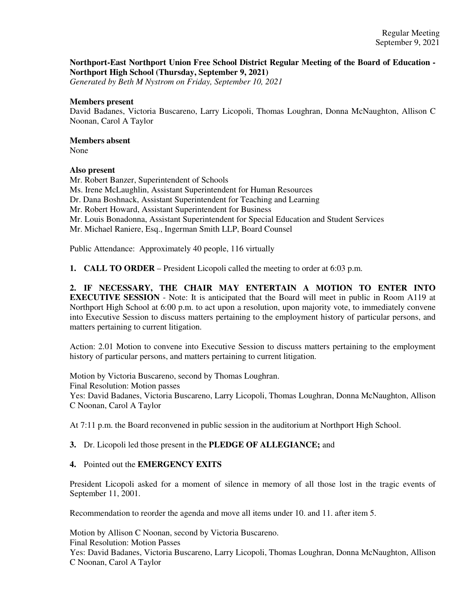## **Northport-East Northport Union Free School District Regular Meeting of the Board of Education - Northport High School (Thursday, September 9, 2021)**

*Generated by Beth M Nystrom on Friday, September 10, 2021*

## **Members present**

David Badanes, Victoria Buscareno, Larry Licopoli, Thomas Loughran, Donna McNaughton, Allison C Noonan, Carol A Taylor

# **Members absent**

None

## **Also present**

Mr. Robert Banzer, Superintendent of Schools Ms. Irene McLaughlin, Assistant Superintendent for Human Resources Dr. Dana Boshnack, Assistant Superintendent for Teaching and Learning Mr. Robert Howard, Assistant Superintendent for Business Mr. Louis Bonadonna, Assistant Superintendent for Special Education and Student Services Mr. Michael Raniere, Esq., Ingerman Smith LLP, Board Counsel

Public Attendance: Approximately 40 people, 116 virtually

**1. CALL TO ORDER** – President Licopoli called the meeting to order at 6:03 p.m.

**2. IF NECESSARY, THE CHAIR MAY ENTERTAIN A MOTION TO ENTER INTO EXECUTIVE SESSION** - Note: It is anticipated that the Board will meet in public in Room A119 at Northport High School at 6:00 p.m. to act upon a resolution, upon majority vote, to immediately convene into Executive Session to discuss matters pertaining to the employment history of particular persons, and matters pertaining to current litigation.

Action: 2.01 Motion to convene into Executive Session to discuss matters pertaining to the employment history of particular persons, and matters pertaining to current litigation.

Motion by Victoria Buscareno, second by Thomas Loughran. Final Resolution: Motion passes Yes: David Badanes, Victoria Buscareno, Larry Licopoli, Thomas Loughran, Donna McNaughton, Allison C Noonan, Carol A Taylor

At 7:11 p.m. the Board reconvened in public session in the auditorium at Northport High School.

# **3.** Dr. Licopoli led those present in the **PLEDGE OF ALLEGIANCE;** and

## **4.** Pointed out the **EMERGENCY EXITS**

President Licopoli asked for a moment of silence in memory of all those lost in the tragic events of September 11, 2001.

Recommendation to reorder the agenda and move all items under 10. and 11. after item 5.

Motion by Allison C Noonan, second by Victoria Buscareno.

Final Resolution: Motion Passes

Yes: David Badanes, Victoria Buscareno, Larry Licopoli, Thomas Loughran, Donna McNaughton, Allison C Noonan, Carol A Taylor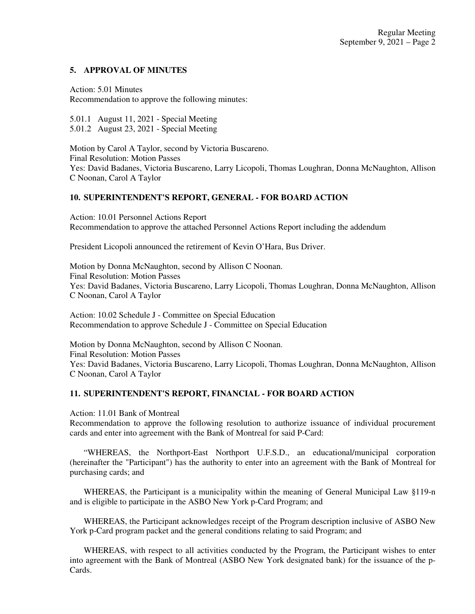## **5. APPROVAL OF MINUTES**

## Action: 5.01 Minutes

Recommendation to approve the following minutes:

5.01.1 August 11, 2021 - Special Meeting 5.01.2 August 23, 2021 - Special Meeting

Motion by Carol A Taylor, second by Victoria Buscareno. Final Resolution: Motion Passes Yes: David Badanes, Victoria Buscareno, Larry Licopoli, Thomas Loughran, Donna McNaughton, Allison C Noonan, Carol A Taylor

## **10. SUPERINTENDENT'S REPORT, GENERAL - FOR BOARD ACTION**

Action: 10.01 Personnel Actions Report Recommendation to approve the attached Personnel Actions Report including the addendum

President Licopoli announced the retirement of Kevin O'Hara, Bus Driver.

Motion by Donna McNaughton, second by Allison C Noonan. Final Resolution: Motion Passes Yes: David Badanes, Victoria Buscareno, Larry Licopoli, Thomas Loughran, Donna McNaughton, Allison C Noonan, Carol A Taylor

Action: 10.02 Schedule J - Committee on Special Education Recommendation to approve Schedule J - Committee on Special Education

Motion by Donna McNaughton, second by Allison C Noonan. Final Resolution: Motion Passes Yes: David Badanes, Victoria Buscareno, Larry Licopoli, Thomas Loughran, Donna McNaughton, Allison C Noonan, Carol A Taylor

# **11. SUPERINTENDENT'S REPORT, FINANCIAL - FOR BOARD ACTION**

Action: 11.01 Bank of Montreal

Recommendation to approve the following resolution to authorize issuance of individual procurement cards and enter into agreement with the Bank of Montreal for said P-Card:

 "WHEREAS, the Northport-East Northport U.F.S.D., an educational/municipal corporation (hereinafter the "Participant") has the authority to enter into an agreement with the Bank of Montreal for purchasing cards; and

 WHEREAS, the Participant is a municipality within the meaning of General Municipal Law §119-n and is eligible to participate in the ASBO New York p-Card Program; and

 WHEREAS, the Participant acknowledges receipt of the Program description inclusive of ASBO New York p-Card program packet and the general conditions relating to said Program; and

 WHEREAS, with respect to all activities conducted by the Program, the Participant wishes to enter into agreement with the Bank of Montreal (ASBO New York designated bank) for the issuance of the p-**Cards**.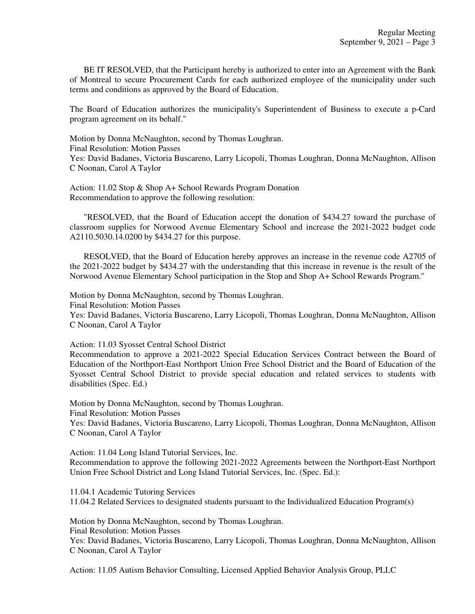BE IT RESOLVED, that the Participant hereby is authorized to enter into an Agreement with the Bank of Montreal to secure Procurement Cards for each authorized employee of the municipality under such terms and conditions as approved by the Board of Education.

The Board of Education authorizes the municipality's Superintendent of Business to execute a p-Card program agreement on its behalf."

Motion by Donna McNaughton, second by Thomas Loughran. Final Resolution: Motion Passes Yes: David Badanes, Victoria Buscareno, Larry Licopoli, Thomas Loughran, Donna McNaughton, Allison C Noonan, Carol A Taylor

Action: 11.02 Stop & Shop A+ School Rewards Program Donation Recommendation to approve the following resolution:

 "RESOLVED, that the Board of Education accept the donation of \$434.27 toward the purchase of classroom supplies for Norwood Avenue Elementary School and increase the 2021-2022 budget code A2110.5030.14.0200 by \$434.27 for this purpose.

 RESOLVED, that the Board of Education hereby approves an increase in the revenue code A2705 of the 2021-2022 budget by \$434.27 with the understanding that this increase in revenue is the result of the Norwood Avenue Elementary School participation in the Stop and Shop A+ School Rewards Program."

Motion by Donna McNaughton, second by Thomas Loughran.

Final Resolution: Motion Passes

Yes: David Badanes, Victoria Buscareno, Larry Licopoli, Thomas Loughran, Donna McNaughton, Allison C Noonan, Carol A Taylor

Action: 11.03 Syosset Central School District

Recommendation to approve a 2021-2022 Special Education Services Contract between the Board of Education of the Northport-East Northport Union Free School District and the Board of Education of the Syosset Central School District to provide special education and related services to students with disabilities (Spec. Ed.)

Motion by Donna McNaughton, second by Thomas Loughran. Final Resolution: Motion Passes

Yes: David Badanes, Victoria Buscareno, Larry Licopoli, Thomas Loughran, Donna McNaughton, Allison C Noonan, Carol A Taylor

Action: 11.04 Long Island Tutorial Services, Inc. Recommendation to approve the following 2021-2022 Agreements between the Northport-East Northport Union Free School District and Long Island Tutorial Services, Inc. (Spec. Ed.):

11.04.1 Academic Tutoring Services 11.04.2 Related Services to designated students pursuant to the Individualized Education Program(s)

Motion by Donna McNaughton, second by Thomas Loughran.

Final Resolution: Motion Passes

Yes: David Badanes, Victoria Buscareno, Larry Licopoli, Thomas Loughran, Donna McNaughton, Allison C Noonan, Carol A Taylor

Action: 11.05 Autism Behavior Consulting, Licensed Applied Behavior Analysis Group, PLLC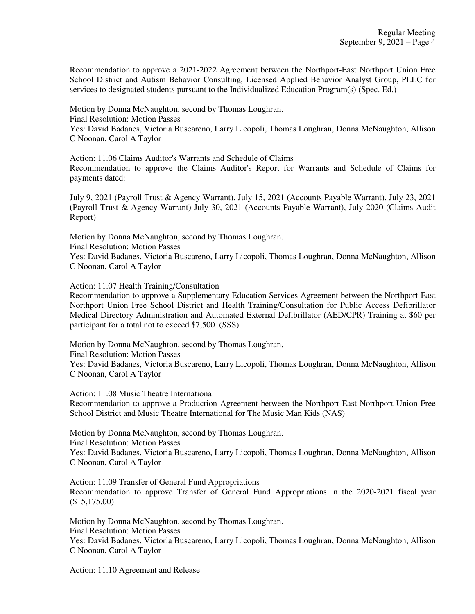Recommendation to approve a 2021-2022 Agreement between the Northport-East Northport Union Free School District and Autism Behavior Consulting, Licensed Applied Behavior Analyst Group, PLLC for services to designated students pursuant to the Individualized Education Program(s) (Spec. Ed.)

Motion by Donna McNaughton, second by Thomas Loughran. Final Resolution: Motion Passes Yes: David Badanes, Victoria Buscareno, Larry Licopoli, Thomas Loughran, Donna McNaughton, Allison C Noonan, Carol A Taylor

Action: 11.06 Claims Auditor's Warrants and Schedule of Claims Recommendation to approve the Claims Auditor's Report for Warrants and Schedule of Claims for payments dated:

July 9, 2021 (Payroll Trust & Agency Warrant), July 15, 2021 (Accounts Payable Warrant), July 23, 2021 (Payroll Trust & Agency Warrant) July 30, 2021 (Accounts Payable Warrant), July 2020 (Claims Audit Report)

Motion by Donna McNaughton, second by Thomas Loughran. Final Resolution: Motion Passes Yes: David Badanes, Victoria Buscareno, Larry Licopoli, Thomas Loughran, Donna McNaughton, Allison C Noonan, Carol A Taylor

Action: 11.07 Health Training/Consultation

Recommendation to approve a Supplementary Education Services Agreement between the Northport-East Northport Union Free School District and Health Training/Consultation for Public Access Defibrillator Medical Directory Administration and Automated External Defibrillator (AED/CPR) Training at \$60 per participant for a total not to exceed \$7,500. (SSS)

Motion by Donna McNaughton, second by Thomas Loughran. Final Resolution: Motion Passes Yes: David Badanes, Victoria Buscareno, Larry Licopoli, Thomas Loughran, Donna McNaughton, Allison C Noonan, Carol A Taylor

Action: 11.08 Music Theatre International

Recommendation to approve a Production Agreement between the Northport-East Northport Union Free School District and Music Theatre International for The Music Man Kids (NAS)

Motion by Donna McNaughton, second by Thomas Loughran. Final Resolution: Motion Passes Yes: David Badanes, Victoria Buscareno, Larry Licopoli, Thomas Loughran, Donna McNaughton, Allison C Noonan, Carol A Taylor

Action: 11.09 Transfer of General Fund Appropriations Recommendation to approve Transfer of General Fund Appropriations in the 2020-2021 fiscal year (\$15,175.00)

Motion by Donna McNaughton, second by Thomas Loughran. Final Resolution: Motion Passes Yes: David Badanes, Victoria Buscareno, Larry Licopoli, Thomas Loughran, Donna McNaughton, Allison C Noonan, Carol A Taylor

Action: 11.10 Agreement and Release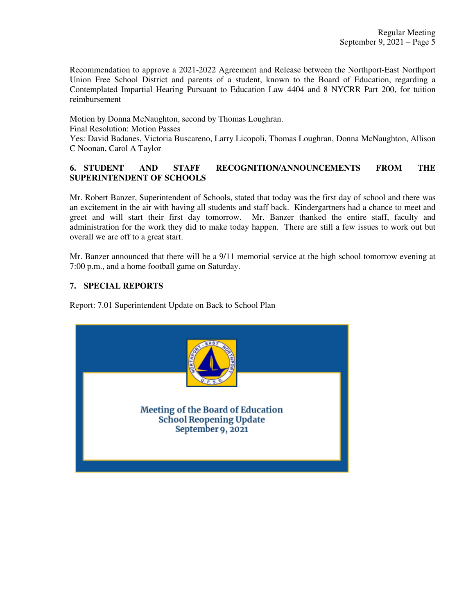Recommendation to approve a 2021-2022 Agreement and Release between the Northport-East Northport Union Free School District and parents of a student, known to the Board of Education, regarding a Contemplated Impartial Hearing Pursuant to Education Law 4404 and 8 NYCRR Part 200, for tuition reimbursement

Motion by Donna McNaughton, second by Thomas Loughran. Final Resolution: Motion Passes Yes: David Badanes, Victoria Buscareno, Larry Licopoli, Thomas Loughran, Donna McNaughton, Allison C Noonan, Carol A Taylor

# **6. STUDENT AND STAFF RECOGNITION/ANNOUNCEMENTS FROM THE SUPERINTENDENT OF SCHOOLS**

Mr. Robert Banzer, Superintendent of Schools, stated that today was the first day of school and there was an excitement in the air with having all students and staff back. Kindergartners had a chance to meet and greet and will start their first day tomorrow. Mr. Banzer thanked the entire staff, faculty and administration for the work they did to make today happen. There are still a few issues to work out but overall we are off to a great start.

Mr. Banzer announced that there will be a 9/11 memorial service at the high school tomorrow evening at 7:00 p.m., and a home football game on Saturday.

# **7. SPECIAL REPORTS**

Report: 7.01 Superintendent Update on Back to School Plan

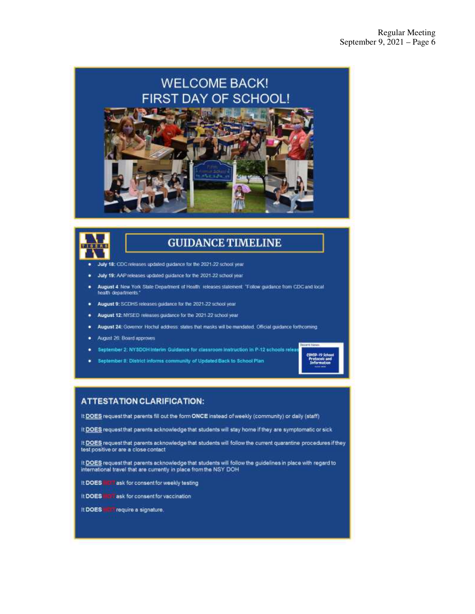



# **GUIDANCE TIMELINE**

- July 18: CDC releases updated guidance for the 2021-22 school year.
- July 19: AAP releases updated guidance for the 2021-22 school year.
- August 4: New York State Department of Heath: releases statement: "Follow guidance from CDC and local" health departments'
- August 9: SCDHS releases guidance for the 2021-22 school year
- August 12: NYSED releases guidance for the 2021-22 school year ٠
- . August 24: Governor Hochul address: slates that masks will be mandated. Official guidance forthcoming.
- · August 26: Board approves
- September 2: NYSDOH Interim Guidance for classroom instruction in P-12 schools relea ٠
- September 3: District informs community of Updated Back to School Plan



## **ATTESTATION CLARIFICATION:**

It DOES request that parents fill out the form ONCE instead of weekly (community) or daily (staff)

It DOES request that parents acknowledge that students will stay home if they are symptomatic or sick

It DOES request that parents acknowledge that students will follow the current quarantine procedures if they test positive or are a close contact

It DOES request that parents acknowledge that students will follow the guidelines in place with regard to international travel that are currently in place from the NSY DOH

- It DOES IT it ask for consent for weekly testing
- It DOES FUT ask for consent for vaccination
- It DOES **HFT** require a signature.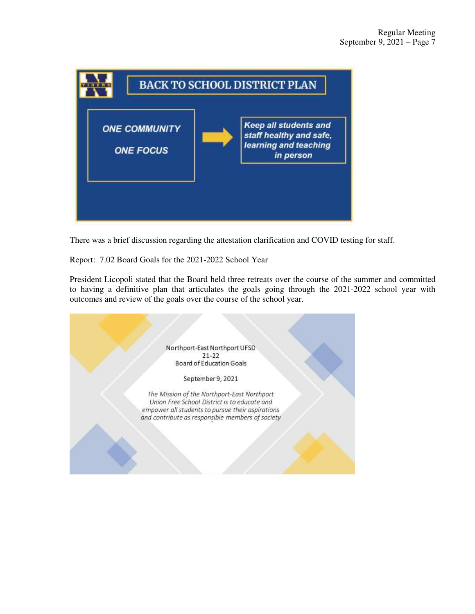

There was a brief discussion regarding the attestation clarification and COVID testing for staff.

Report: 7.02 Board Goals for the 2021-2022 School Year

President Licopoli stated that the Board held three retreats over the course of the summer and committed to having a definitive plan that articulates the goals going through the 2021-2022 school year with outcomes and review of the goals over the course of the school year.

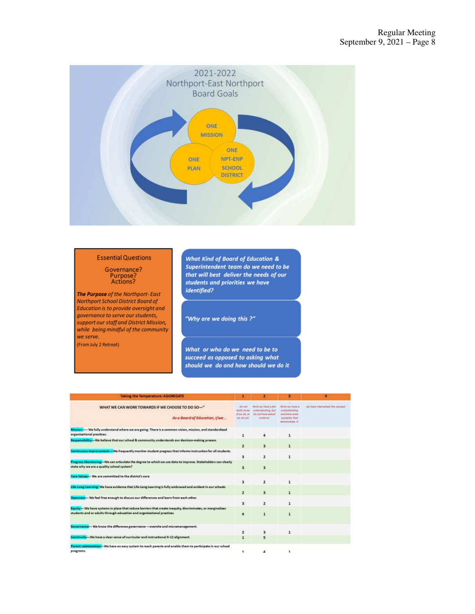

### **Essential Questions**

# Governance? Purpose?<br>Actions?

The Purpose of the Northport-East Northport School District Board of Education is to provide oversight and governance to serve our students, support our staff and District Mission, while being mindful of the community we serve. (From July 2 Retreat)

**What Kind of Board of Education &** Superintendent team do we need to be that will best deliver the needs of our<br>students and priorities we have *identified?* 

"Why are we doing this ?"

What or who do we need to be to succeed as opposed to asking what should we do and how should we do it.

| <b>Taking the Temperature: AGGREGATE</b>                                                                                                                                              |                                                      | 2                                                                                  | в                                                                                        | A                             |
|---------------------------------------------------------------------------------------------------------------------------------------------------------------------------------------|------------------------------------------------------|------------------------------------------------------------------------------------|------------------------------------------------------------------------------------------|-------------------------------|
| WHAT WE CAN WORK TOWARDS IF WE CHOOSE TO DO SO-"<br>As a Board of Education, I/we                                                                                                     | d'a hitt<br>ready India<br>if we plat by<br>MY BLOCK | Mink we have a fav-<br>understanding, but<br>do not baye actual<br><b>PERMITTE</b> | third out have at<br>understanding<br>and hove some<br>expressed that<br>demonstrate it. | we have mismaked the current. |
| Mission----- We fully understand where we are going. There is a common vision, mission, and standardized<br>organizational practices.                                                 | 1                                                    | 4                                                                                  | 1                                                                                        |                               |
| Responsibility--- We believe that our school & community understands our decision-making process                                                                                      | 2                                                    | $\overline{\mathbf{3}}$                                                            | $\mathbf{1}$                                                                             |                               |
| Continuous improvement -- We frequently monitor student progress that informs instruction for all students.                                                                           | 3                                                    | $\overline{2}$                                                                     | $\mathbf{1}$                                                                             |                               |
| Progress Monitoring --- We can articulate the degree to which we use data to improve. Stakeholders can clearly<br>state why we are a quality school system?                           | 3                                                    | 3                                                                                  |                                                                                          |                               |
| Core Values- We are committed to the district's core                                                                                                                                  |                                                      |                                                                                    |                                                                                          |                               |
| Life-Long Learning: We have evidence that Life-Long Learning is fully embraced and evident in our schools                                                                             | з<br>2                                               | $\overline{z}$<br>$\overline{\mathbf{3}}$                                          | $\mathbf{1}$<br>$\mathbf{1}$                                                             |                               |
| Openness --- We feel free enough to discuss our differences and learn from each other.                                                                                                | B.                                                   | $\mathbf{z}$                                                                       | 1                                                                                        |                               |
| Louity--- We have systems in place that reduce barriers that create inequity, discriminates, or marginalizes<br>students and or adults through education and organizational practices | 4                                                    | $\mathbf{1}$                                                                       | $\bf{1}$                                                                                 |                               |
| Governance --- We know the difference governance --- oversite and micromanagement.                                                                                                    |                                                      |                                                                                    |                                                                                          |                               |
| Continuity--- We have a clear sense of curricular and instructional K-12 alignment.                                                                                                   | $\overline{2}$<br>$\mathbf{1}$                       | $\overline{\mathbf{3}}$<br>5                                                       | $\mathbf{1}$                                                                             |                               |
| Parent relationships--We have an easy system to reach parents and enable them to participate in our school                                                                            |                                                      |                                                                                    |                                                                                          |                               |
| programs.                                                                                                                                                                             | 1.                                                   | $\Delta$                                                                           | 1.                                                                                       |                               |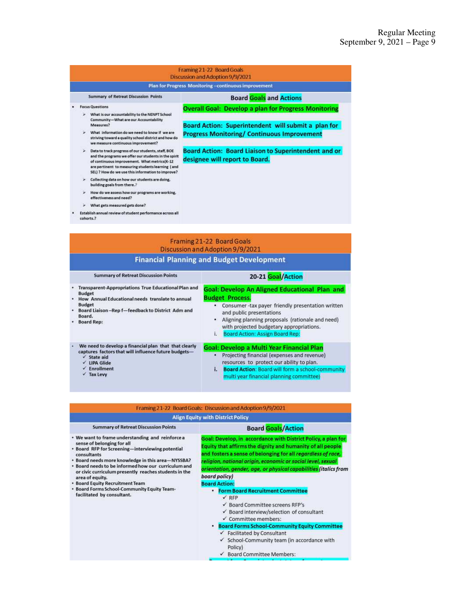|                                                                                                                   |   |                                                                                                                                                                                                                                                                       | Framing 21-22 Board Goals<br>Discussion and Adoption 9/9/2021                                             |
|-------------------------------------------------------------------------------------------------------------------|---|-----------------------------------------------------------------------------------------------------------------------------------------------------------------------------------------------------------------------------------------------------------------------|-----------------------------------------------------------------------------------------------------------|
|                                                                                                                   |   |                                                                                                                                                                                                                                                                       | <b>Plan for Progress Monitoring-continuous improvement</b>                                                |
|                                                                                                                   |   | <b>Summary of Retreat Discussion Points</b>                                                                                                                                                                                                                           | <b>Board Goals and Actions</b>                                                                            |
| <b>Focus Questions</b><br>What is our accountability to the NENPT School<br>Community-What are our Accountability |   |                                                                                                                                                                                                                                                                       | <b>Overall Goal: Develop a plan for Progress Monitoring</b>                                               |
|                                                                                                                   |   | Measures?<br>What information do we need to know if we are<br>striving toward a quality school district and how do<br>we measure continuous improvement?                                                                                                              | Board Action: Superintendent will submit a plan for<br><b>Progress Monitoring/ Continuous Improvement</b> |
|                                                                                                                   | ۶ | Data to track progress of our students, staff, BOE<br>and the programs we offer our students in the spirit<br>of continuous improvement. What metrics(K-12<br>are pertinent to measuring students learning ( and<br>SEL) ? How do we use this information to improve? | <b>Board Action: Board Liaison to Superintendent and or</b><br>designee will report to Board.             |
|                                                                                                                   | × | Collecting data on how our students are doing,<br>building goals from there.?                                                                                                                                                                                         |                                                                                                           |
|                                                                                                                   |   | How do we assess how our programs are working,<br>effectiveness and need?                                                                                                                                                                                             |                                                                                                           |
|                                                                                                                   |   | What gets measured gets done?                                                                                                                                                                                                                                         |                                                                                                           |
|                                                                                                                   |   | Establish annual review of student performance across all<br>cohorts.?                                                                                                                                                                                                |                                                                                                           |

|                                                                                                                                                                       |                                                             | Framing 21-22 Board Goals<br>Discussion and Adoption 9/9/2021<br><b>Financial Planning and Budget Development</b>                                                                                                                                                                                             |
|-----------------------------------------------------------------------------------------------------------------------------------------------------------------------|-------------------------------------------------------------|---------------------------------------------------------------------------------------------------------------------------------------------------------------------------------------------------------------------------------------------------------------------------------------------------------------|
| <b>Summary of Retreat Discussion Points</b>                                                                                                                           |                                                             | 20-21 Goal/Action                                                                                                                                                                                                                                                                                             |
| <b>Budget</b><br>How Annual Educational needs translate to annual<br><b>Budget</b><br>Board Liaison-Rep f-feedback to District Adm and<br>Board.<br><b>Board Rep:</b> | <b>Transparent-Appropriations True Educational Plan and</b> | <b>Goal: Develop An Aligned Educational Plan and</b><br><b>Budget Process.</b><br>Consumer -tax payer friendly presentation written<br>and public presentations<br>Aligning planning proposals (rationale and need)<br>¥.<br>with projected budgetary appropriations.<br>Board Action: Assign Board Rep:<br>K |
| captures factors that will influence future budgets-<br>$\checkmark$ State aid<br><b>LIPA Glide</b><br><b>Enrollment</b><br><b>Tax Levy</b>                           | We need to develop a financial plan that that clearly       | Goal: Develop a Multi Year Financial Plan<br>Projecting financial (expenses and revenue)<br>٠<br>resources to protect our ability to plan.<br>i.<br><b>Board Action: Board will form a school-community</b><br>multi year financial planning committee)                                                       |

|  |                                   | Framing 21-22 Board Goals: Discussion and Adoption 9/9/2021 |
|--|-----------------------------------|-------------------------------------------------------------|
|  | Alien Fauity with District Policy |                                                             |

### **Summary of Retreat Discussion Points**

### **Board Goals/Action**

- We want to frame understanding and reinforce a sense of belonging for all<br>Board RFP for Screening-interviewing potential
- consultants
- \* Board needs more knowledge in this area-NYSSBA? • Board needs to be informed how our curriculum and
- or civic curriculum presently reaches students in the<br>area of equity.<br>• Board Equity Recruitment Team<br>• Board Forms School-Community Equity Team-
- 
- facilitated by consultant.
- Equity that affirms the dignity and humanity of all people and fosters a sense of belonging for all regardless of race, religion, national origin, economic or social level, sexual orientation, gender, age, or physical capabilities (italics from board policy)

Goal: Develop, in accordance with District Policy, a plan for

### **Board Action:**

- Form Board Recruitment Committee
	- $\times$  RFP
	- ✔ Board Committee screens RFP's
	- ✔ Board interview/selection of consultant
	- ✔ Committee members:
	- **Board Forms School-Community Equity Committee**  $\checkmark$  Facilitated by Consultant
	- ✓ School-Community team (in accordance with Policy)
	- ← Board Committee Members: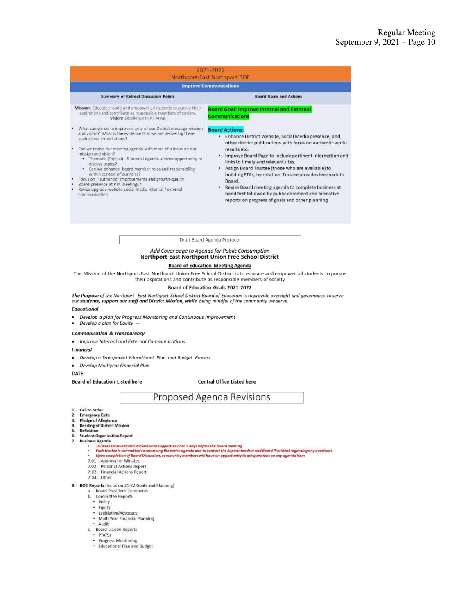|                                                                                                                                                                                                                                                                                                                                                                                                                                                                                                                                                                                                           | Northport-East Northport BOE<br><b>Improve Communications</b>                                                                                                                                                                                                                                                                                                                                                                                                                                                                                                    |  |  |  |  |
|-----------------------------------------------------------------------------------------------------------------------------------------------------------------------------------------------------------------------------------------------------------------------------------------------------------------------------------------------------------------------------------------------------------------------------------------------------------------------------------------------------------------------------------------------------------------------------------------------------------|------------------------------------------------------------------------------------------------------------------------------------------------------------------------------------------------------------------------------------------------------------------------------------------------------------------------------------------------------------------------------------------------------------------------------------------------------------------------------------------------------------------------------------------------------------------|--|--|--|--|
| <b>Summary of Retreat Discussion Points</b>                                                                                                                                                                                                                                                                                                                                                                                                                                                                                                                                                               | <b>Board Goals and Actions</b>                                                                                                                                                                                                                                                                                                                                                                                                                                                                                                                                   |  |  |  |  |
| Mission: Educate, inspire and empower all students to pursue their<br>aspirations and contribute as responsible members of society.<br>Vision: Excellence In All Areas                                                                                                                                                                                                                                                                                                                                                                                                                                    | <b>Board Goal: Improve Internal and External</b><br><b>Communications</b>                                                                                                                                                                                                                                                                                                                                                                                                                                                                                        |  |  |  |  |
| What can we do to improve clarity of our District message-mission<br>and vision? What is the evidence that we are delivering these<br>aspirational expectations?<br>Can we revise our meeting agenda with more of a focus on our<br>mission and vision?<br>· Thematic (Topical) & Annual Agenda + more opportunity to<br>discuss topics?<br>. Can we enhance board member roles and responsibility<br>within context of our roles?<br>Focus on "authentic" improvements and growth-quality<br>Board presence at PTA meetings?<br>Revise upgrade website-social media-internal / external<br>communication | <b>Board Actions:</b><br>· Enhance District Website, Social Media presence, and<br>other district publications with focus on authentic work-<br>results etc.<br>• Improve Board Page to include pertinent information and<br>links to timely and relevant sites.<br>. Assign Board Trustee (those who are available) to<br>building PTAs, by rotation. Trustee provides feedback to<br>Board.<br>• Revise Board meeting agenda to complete business at<br>hand first followed by public comment and formative<br>reports on progress of goals and other planning |  |  |  |  |
|                                                                                                                                                                                                                                                                                                                                                                                                                                                                                                                                                                                                           | Draft Board Agenda Protocol                                                                                                                                                                                                                                                                                                                                                                                                                                                                                                                                      |  |  |  |  |
|                                                                                                                                                                                                                                                                                                                                                                                                                                                                                                                                                                                                           | Add Cover page to Agenda for Public Consumption                                                                                                                                                                                                                                                                                                                                                                                                                                                                                                                  |  |  |  |  |
|                                                                                                                                                                                                                                                                                                                                                                                                                                                                                                                                                                                                           |                                                                                                                                                                                                                                                                                                                                                                                                                                                                                                                                                                  |  |  |  |  |
| our students, support our staff and District Mission, while being mindful of the community we serve.<br>Educational<br>Develop a plan for Progress Monitoring and Continuous Improvement<br>Develop a plan for Equity ---                                                                                                                                                                                                                                                                                                                                                                                 | their aspirations and contribute as responsible members of society<br>Board of Education Goals 2021-2022<br>The Purpose of the Northport- East Northport School District Board of Education is to provide oversight and governance to serve                                                                                                                                                                                                                                                                                                                      |  |  |  |  |
| <b>Communication &amp; Transparency</b><br>Improve Internal and External Communications                                                                                                                                                                                                                                                                                                                                                                                                                                                                                                                   |                                                                                                                                                                                                                                                                                                                                                                                                                                                                                                                                                                  |  |  |  |  |
| Financial                                                                                                                                                                                                                                                                                                                                                                                                                                                                                                                                                                                                 |                                                                                                                                                                                                                                                                                                                                                                                                                                                                                                                                                                  |  |  |  |  |
| Develop a Transparent Educational Plan and Budget Process.                                                                                                                                                                                                                                                                                                                                                                                                                                                                                                                                                |                                                                                                                                                                                                                                                                                                                                                                                                                                                                                                                                                                  |  |  |  |  |
| Develop Multiyear Financial Plan                                                                                                                                                                                                                                                                                                                                                                                                                                                                                                                                                                          |                                                                                                                                                                                                                                                                                                                                                                                                                                                                                                                                                                  |  |  |  |  |
| DATE:<br><b>Board of Education Listed here</b>                                                                                                                                                                                                                                                                                                                                                                                                                                                                                                                                                            | Central Office Listed here                                                                                                                                                                                                                                                                                                                                                                                                                                                                                                                                       |  |  |  |  |
|                                                                                                                                                                                                                                                                                                                                                                                                                                                                                                                                                                                                           | Proposed Agenda Revisions                                                                                                                                                                                                                                                                                                                                                                                                                                                                                                                                        |  |  |  |  |

- Multi-Year Financial Planning<br>
c. Board Liaison Reports<br>
c. Board Liaison Reports<br>
Progress Monitoring<br>
Educational Plan and Budget il Planning
	-
- 
- 
-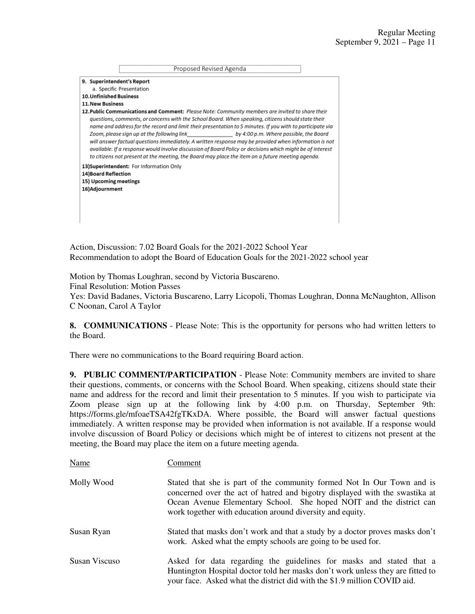|                                                                | Proposed Revised Agenda                                                                                                                                                                                                                                                                                                                                                                                                                                                                                                                                                                                                                                                                                                               |  |
|----------------------------------------------------------------|---------------------------------------------------------------------------------------------------------------------------------------------------------------------------------------------------------------------------------------------------------------------------------------------------------------------------------------------------------------------------------------------------------------------------------------------------------------------------------------------------------------------------------------------------------------------------------------------------------------------------------------------------------------------------------------------------------------------------------------|--|
| 9. Superintendent's Report                                     |                                                                                                                                                                                                                                                                                                                                                                                                                                                                                                                                                                                                                                                                                                                                       |  |
|                                                                | a. Specific Presentation                                                                                                                                                                                                                                                                                                                                                                                                                                                                                                                                                                                                                                                                                                              |  |
| <b>10. Unfinished Business</b>                                 |                                                                                                                                                                                                                                                                                                                                                                                                                                                                                                                                                                                                                                                                                                                                       |  |
| <b>11. New Business</b>                                        |                                                                                                                                                                                                                                                                                                                                                                                                                                                                                                                                                                                                                                                                                                                                       |  |
|                                                                | 12. Public Communications and Comment: Please Note: Community members are invited to share their<br>questions, comments, or concerns with the School Board. When speaking, citizens should state their<br>name and address for the record and limit their presentation to 5 minutes. If you with to participate via<br>Zoom, please sign up at the following link<br>by 4:00 p.m. Where possible, the Board<br>will answer factual questions immediately. A written response may be provided when information is not<br>available. If a response would involve discussion of Board Policy or decisions which might be of interest<br>to citizens not present at the meeting, the Board may place the item on a future meeting agenda. |  |
| 14)Board Reflection<br>15) Upcoming meetings<br>16)Adjournment | 13) Superintendent: For Information Only                                                                                                                                                                                                                                                                                                                                                                                                                                                                                                                                                                                                                                                                                              |  |
|                                                                |                                                                                                                                                                                                                                                                                                                                                                                                                                                                                                                                                                                                                                                                                                                                       |  |

Action, Discussion: 7.02 Board Goals for the 2021-2022 School Year Recommendation to adopt the Board of Education Goals for the 2021-2022 school year

Motion by Thomas Loughran, second by Victoria Buscareno. Final Resolution: Motion Passes Yes: David Badanes, Victoria Buscareno, Larry Licopoli, Thomas Loughran, Donna McNaughton, Allison C Noonan, Carol A Taylor

**8. COMMUNICATIONS** - Please Note: This is the opportunity for persons who had written letters to the Board.

There were no communications to the Board requiring Board action.

**9. PUBLIC COMMENT/PARTICIPATION** - Please Note: Community members are invited to share their questions, comments, or concerns with the School Board. When speaking, citizens should state their name and address for the record and limit their presentation to 5 minutes. If you wish to participate via Zoom please sign up at the following link by 4:00 p.m. on Thursday, September 9th: https://forms.gle/mfoaeTSA42fgTKxDA. Where possible, the Board will answer factual questions immediately. A written response may be provided when information is not available. If a response would involve discussion of Board Policy or decisions which might be of interest to citizens not present at the meeting, the Board may place the item on a future meeting agenda.

| Name          | Comment                                                                                                                                                                                                                                                                                   |
|---------------|-------------------------------------------------------------------------------------------------------------------------------------------------------------------------------------------------------------------------------------------------------------------------------------------|
| Molly Wood    | Stated that she is part of the community formed Not In Our Town and is<br>concerned over the act of hatred and bigotry displayed with the swastika at<br>Ocean Avenue Elementary School. She hoped NOIT and the district can<br>work together with education around diversity and equity. |
| Susan Ryan    | Stated that masks don't work and that a study by a doctor proves masks don't<br>work. Asked what the empty schools are going to be used for.                                                                                                                                              |
| Susan Viscuso | Asked for data regarding the guidelines for masks and stated that a<br>Huntington Hospital doctor told her masks don't work unless they are fitted to<br>your face. Asked what the district did with the \$1.9 million COVID aid.                                                         |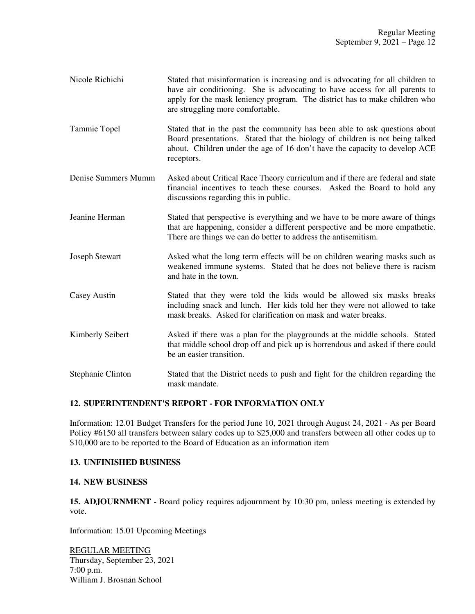- Nicole Richichi Stated that misinformation is increasing and is advocating for all children to have air conditioning. She is advocating to have access for all parents to apply for the mask leniency program. The district has to make children who are struggling more comfortable.
- Tammie Topel Stated that in the past the community has been able to ask questions about Board presentations. Stated that the biology of children is not being talked about. Children under the age of 16 don't have the capacity to develop ACE receptors.
- Denise Summers Mumm Asked about Critical Race Theory curriculum and if there are federal and state financial incentives to teach these courses. Asked the Board to hold any discussions regarding this in public.
- Jeanine Herman Stated that perspective is everything and we have to be more aware of things that are happening, consider a different perspective and be more empathetic. There are things we can do better to address the antisemitism.
- Joseph Stewart Asked what the long term effects will be on children wearing masks such as weakened immune systems. Stated that he does not believe there is racism and hate in the town.
- Casey Austin Stated that they were told the kids would be allowed six masks breaks including snack and lunch. Her kids told her they were not allowed to take mask breaks. Asked for clarification on mask and water breaks.
- Kimberly Seibert Asked if there was a plan for the playgrounds at the middle schools. Stated that middle school drop off and pick up is horrendous and asked if there could be an easier transition.
- Stephanie Clinton Stated that the District needs to push and fight for the children regarding the mask mandate.

# **12. SUPERINTENDENT'S REPORT - FOR INFORMATION ONLY**

Information: 12.01 Budget Transfers for the period June 10, 2021 through August 24, 2021 - As per Board Policy #6150 all transfers between salary codes up to \$25,000 and transfers between all other codes up to \$10,000 are to be reported to the Board of Education as an information item

## **13. UNFINISHED BUSINESS**

## **14. NEW BUSINESS**

**15. ADJOURNMENT** - Board policy requires adjournment by 10:30 pm, unless meeting is extended by vote.

Information: 15.01 Upcoming Meetings

REGULAR MEETING Thursday, September 23, 2021 7:00 p.m. William J. Brosnan School